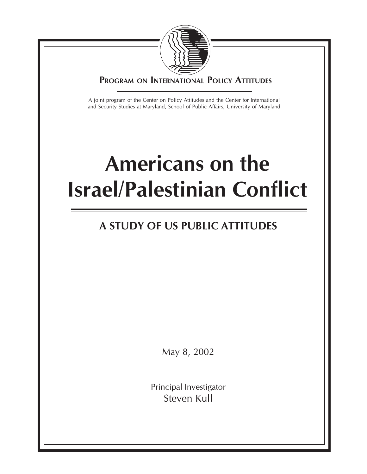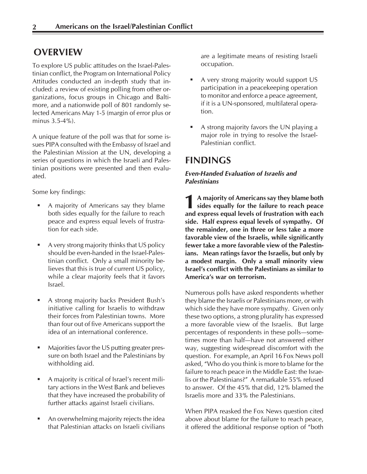# **OVERVIEW**

To explore US public attitudes on the Israel-Palestinian conflict, the Program on International Policy Attitudes conducted an in-depth study that included: a review of existing polling from other organizations, focus groups in Chicago and Baltimore, and a nationwide poll of 801 randomly selected Americans May 1-5 (margin of error plus or minus 3.5-4%).

A unique feature of the poll was that for some issues PIPA consulted with the Embassy of Israel and the Palestinian Mission at the UN, developing a series of questions in which the Israeli and Palestinian positions were presented and then evaluated.

Some key findings:

- A majority of Americans say they blame both sides equally for the failure to reach peace and express equal levels of frustration for each side.
- A very strong majority thinks that US policy should be even-handed in the Israel-Palestinian conflict. Only a small minority believes that this is true of current US policy, while a clear majority feels that it favors Israel.
- A strong majority backs President Bush's initiative calling for Israelis to withdraw their forces from Palestinian towns. More than four out of five Americans support the idea of an international conference.
- Majorities favor the US putting greater pressure on both Israel and the Palestinians by withholding aid.
- A majority is critical of Israel's recent military actions in the West Bank and believes that they have increased the probability of further attacks against Israeli civilians.
- An overwhelming majority rejects the idea that Palestinian attacks on Israeli civilians

are a legitimate means of resisting Israeli occupation.

- A very strong majority would support US participation in a peacekeeping operation to monitor and enforce a peace agreement, if it is a UN-sponsored, multilateral operation.
- A strong majority favors the UN playing a major role in trying to resolve the Israel-Palestinian conflict.

# **FINDINGS**

# *Even-Handed Evaluation of Israelis and Palestinians*

**1** A majority of Americans say they blame both sides equally for the failure to reach peace and express equal levels of frustration with each **A majority of Americans say they blame both sides equally for the failure to reach peace side. Half express equal levels of sympathy. Of the remainder, one in three or less take a more favorable view of the Israelis, while significantly fewer take a more favorable view of the Palestinians. Mean ratings favor the Israelis, but only by a modest margin. Only a small minority view Israel's conflict with the Palestinians as similar to America's war on terrorism.**

Numerous polls have asked respondents whether they blame the Israelis or Palestinians more, or with which side they have more sympathy. Given only these two options, a strong plurality has expressed a more favorable view of the Israelis. But large percentages of respondents in these polls—sometimes more than half—have not answered either way, suggesting widespread discomfort with the question. For example, an April 16 Fox News poll asked, "Who do you think is more to blame for the failure to reach peace in the Middle East: the Israelis or the Palestinians?" A remarkable 55% refused to answer. Of the 45% that did, 12% blamed the Israelis more and 33% the Palestinians.

When PIPA reasked the Fox News question cited above about blame for the failure to reach peace, it offered the additional response option of "both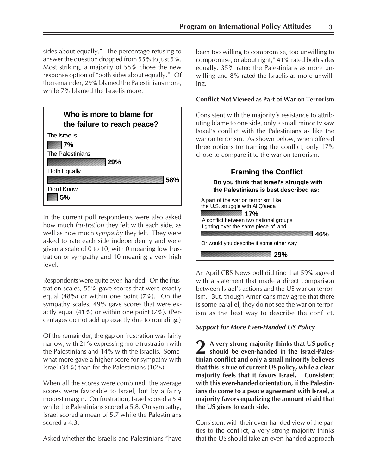sides about equally." The percentage refusing to answer the question dropped from 55% to just 5%. Most striking, a majority of 58% chose the new response option of "both sides about equally." Of the remainder, 29% blamed the Palestinians more, while 7% blamed the Israelis more.



In the current poll respondents were also asked how much *frustration* they felt with each side, as well as how much *sympathy* they felt. They were asked to rate each side independently and were given a scale of 0 to 10, with 0 meaning low frustration or sympathy and 10 meaning a very high level.

Respondents were quite even-handed. On the frustration scales, 55% gave scores that were exactly equal (48%) or within one point (7%). On the sympathy scales, 49% gave scores that were exactly equal (41%) or within one point (7%). (Percentages do not add up exactly due to rounding.)

Of the remainder, the gap on frustration was fairly narrow, with 21% expressing more frustration with the Palestinians and 14% with the Israelis. Somewhat more gave a higher score for sympathy with Israel (34%) than for the Palestinians (10%).

When all the scores were combined, the average scores were favorable to Israel, but by a fairly modest margin. On frustration, Israel scored a 5.4 while the Palestinians scored a 5.8. On sympathy, Israel scored a mean of 5.7 while the Palestinians scored a 4.3.

Asked whether the Israelis and Palestinians "have

been too willing to compromise, too unwilling to compromise, or about right," 41% rated both sides equally, 35% rated the Palestinians as more unwilling and 8% rated the Israelis as more unwilling.

# **Conflict Not Viewed as Part of War on Terrorism**

Consistent with the majority's resistance to attributing blame to one side, only a small minority saw Israel's conflict with the Palestinians as like the war on terrorism. As shown below, when offered three options for framing the conflict, only 17% chose to compare it to the war on terrorism.



An April CBS News poll did find that 59% agreed with a statement that made a direct comparison between Israel's actions and the US war on terrorism. But, though Americans may agree that there is some parallel, they do not see the war on terrorism as the best way to describe the conflict.

# *Support for More Even-Handed US Policy*

**2 A very strong majority thinks that US policy should be even-handed in the Israel-Palestinian conflict and only a small minority believes that this is true of current US policy, while a clear majority feels that it favors Israel. Consistent with this even-handed orientation, if the Palestinians do come to a peace agreement with Israel, a majority favors equalizing the amount of aid that the US gives to each side.**

Consistent with their even-handed view of the parties to the conflict, a very strong majority thinks that the US should take an even-handed approach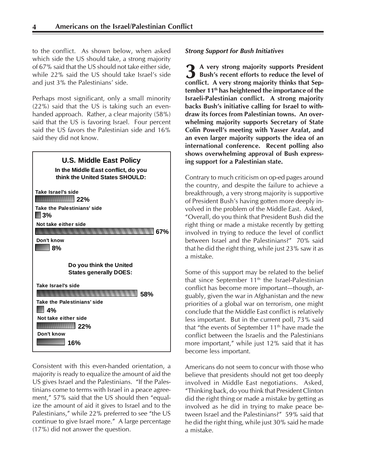to the conflict. As shown below, when asked which side the US should take, a strong majority of 67% said that the US should not take either side, while 22% said the US should take Israel's side and just 3% the Palestinians' side.

Perhaps most significant, only a small minority (22%) said that the US is taking such an evenhanded approach. Rather, a clear majority (58%) said that the US is favoring Israel. Four percent said the US favors the Palestinian side and 16% said they did not know.



Consistent with this even-handed orientation, a majority is ready to equalize the amount of aid the US gives Israel and the Palestinians. "If the Palestinians come to terms with Israel in a peace agreement," 57% said that the US should then "equalize the amount of aid it gives to Israel and to the Palestinians," while 22% preferred to see "the US continue to give Israel more." A large percentage (17%) did not answer the question.

#### *Strong Support for Bush Initiatives*

**3** A very strong majority supports President<br>Bush's recent efforts to reduce the level of **Bush's recent efforts to reduce the level of conflict. A very strong majority thinks that September 11th has heightened the importance of the Israeli-Palestinian conflict. A strong majority backs Bush's initiative calling for Israel to withdraw its forces from Palestinian towns. An overwhelming majority supports Secretary of State Colin Powell's meeting with Yasser Arafat, and an even larger majority supports the idea of an international conference. Recent polling also shows overwhelming approval of Bush expressing support for a Palestinian state.**

Contrary to much criticism on op-ed pages around the country, and despite the failure to achieve a breakthrough, a very strong majority is supportive of President Bush's having gotten more deeply involved in the problem of the Middle East. Asked, "Overall, do you think that President Bush did the right thing or made a mistake recently by getting involved in trying to reduce the level of conflict between Israel and the Palestinians?" 70% said that he did the right thing, while just 23% saw it as a mistake.

Some of this support may be related to the belief that since September  $11<sup>th</sup>$  the Israel-Palestinian conflict has become more important—though, arguably, given the war in Afghanistan and the new priorities of a global war on terrorism, one might conclude that the Middle East conflict is relatively less important. But in the current poll, 73% said that "the events of September  $11<sup>th</sup>$  have made the conflict between the Israelis and the Palestinians more important," while just 12% said that it has become less important.

Americans do not seem to concur with those who believe that presidents should not get too deeply involved in Middle East negotiations. Asked, "Thinking back, do you think that President Clinton did the right thing or made a mistake by getting as involved as he did in trying to make peace between Israel and the Palestinians?" 59% said that he did the right thing, while just 30% said he made a mistake.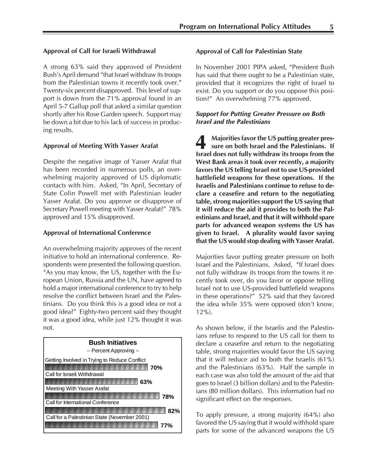#### **Approval of Call for Israeli Withdrawal**

A strong 63% said they approved of President Bush's April demand "that Israel withdraw its troops from the Palestinian towns it recently took over." Twenty-six percent disapproved. This level of support is down from the 71% approval found in an April 5-7 Gallup poll that asked a similar question shortly after his Rose Garden speech. Support may be down a bit due to his lack of success in producing results.

#### **Approval of Meeting With Yasser Arafat**

Despite the negative image of Yasser Arafat that has been recorded in numerous polls, an overwhelming majority approved of US diplomatic contacts with him. Asked, "In April, Secretary of State Colin Powell met with Palestinian leader Yasser Arafat. Do you approve or disapprove of Secretary Powell meeting with Yasser Arafat?" 78% approved and 15% disapproved.

#### **Approval of International Conference**

An overwhelming majority approves of the recent initiative to hold an international conference. Respondents were presented the following question. "As you may know, the US, together with the European Union, Russia and the UN, have agreed to hold a major international conference to try to help resolve the conflict between Israel and the Palestinians. Do you think this is a good idea or not a good idea?" Eighty-two percent said they thought it was a good idea, while just 12% thought it was not.



#### **Approval of Call for Palestinian State**

In November 2001 PIPA asked, "President Bush has said that there ought to be a Palestinian state, provided that it recognizes the right of Israel to exist. Do you support or do you oppose this position?" An overwhelming 77% approved.

#### *Support for Putting Greater Pressure on Both Israel and the Palestinians*

**4** Majorities favor the US putting greater pressure on both Israel and the Palestinians. If Israel does not fully withdraw its troops from the **Majorities favor the US putting greater pressure on both Israel and the Palestinians. If West Bank areas it took over recently, a majority favors the US telling Israel not to use US-provided battlefield weapons for these operations. If the Israelis and Palestinians continue to refuse to declare a ceasefire and return to the negotiating table, strong majorities support the US saying that it will reduce the aid it provides to both the Palestinians and Israel, and that it will withhold spare parts for advanced weapon systems the US has given to Israel. A plurality would favor saying that the US would stop dealing with Yasser Arafat.**

Majorities favor putting greater pressure on both Israel and the Palestinians. Asked, "If Israel does not fully withdraw its troops from the towns it recently took over, do you favor or oppose telling Israel not to use US-provided battlefield weapons in these operations?" 52% said that they favored the idea while 35% were opposed (don't know, 12%).

As shown below, if the Israelis and the Palestinians refuse to respond to the US call for them to declare a ceasefire and return to the negotiating table, strong majorities would favor the US saying that it will reduce aid to both the Israelis (61%) and the Palestinians (63%). Half the sample in each case was also told the amount of the aid that goes to Israel (3 billion dollars) and to the Palestinians (80 million dollars). This information had no significant effect on the responses.

To apply pressure, a strong majority (64%) also favored the US saying that it would withhold spare parts for some of the advanced weapons the US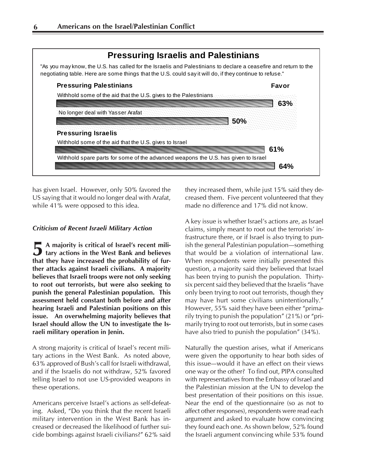

has given Israel. However, only 50% favored the US saying that it would no longer deal with Arafat, while 41% were opposed to this idea.

#### *Criticism of Recent Israeli Military Action*

**5** A majority is critical of Israel's recent military actions in the West Bank and believes **A majority is critical of Israel's recent milithat they have increased the probability of further attacks against Israeli civilians. A majority believes that Israeli troops were not only seeking to root out terrorists, but were also seeking to punish the general Palestinian population. This assessment held constant both before and after hearing Israeli and Palestinian positions on this issue. An overwhelming majority believes that Israel should allow the UN to investigate the Israeli military operation in Jenin.**

A strong majority is critical of Israel's recent military actions in the West Bank. As noted above, 63% approved of Bush's call for Israeli withdrawal, and if the Israelis do not withdraw, 52% favored telling Israel to not use US-provided weapons in these operations.

Americans perceive Israel's actions as self-defeating. Asked, "Do you think that the recent Israeli military intervention in the West Bank has increased or decreased the likelihood of further suicide bombings against Israeli civilians?" 62% said they increased them, while just 15% said they decreased them. Five percent volunteered that they made no difference and 17% did not know.

A key issue is whether Israel's actions are, as Israel claims, simply meant to root out the terrorists' infrastructure there, or if Israel is also trying to punish the general Palestinian population—something that would be a violation of international law. When respondents were initially presented this question, a majority said they believed that Israel has been trying to punish the population. Thirtysix percent said they believed that the Israelis "have only been trying to root out terrorists, though they may have hurt some civilians unintentionally." However, 55% said they have been either "primarily trying to punish the population" (21%) or "primarily trying to root out terrorists, but in some cases have also tried to punish the population" (34%).

Naturally the question arises, what if Americans were given the opportunity to hear both sides of this issue—would it have an effect on their views one way or the other? To find out, PIPA consulted with representatives from the Embassy of Israel and the Palestinian mission at the UN to develop the best presentation of their positions on this issue. Near the end of the questionnaire (so as not to affect other responses), respondents were read each argument and asked to evaluate how convincing they found each one. As shown below, 52% found the Israeli argument convincing while 53% found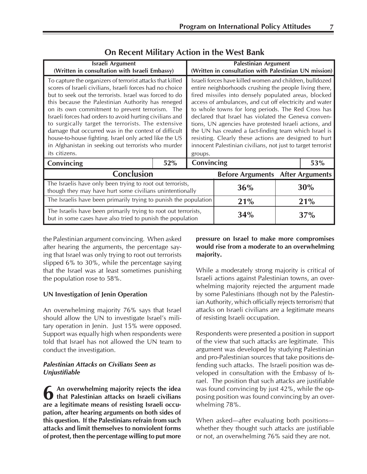| Israeli Argument<br>(Written in consultation with Israeli Embassy)                                                                                                                                                                                                                                                                                                                                                                                                                                                                                                                                      | <b>Palestinian Argument</b><br>(Written in consultation with Palestinian UN mission)                                                                                                                                                                                                                                                                                                                                                                                                                                                                                                                        |            |                                         |     |  |  |
|---------------------------------------------------------------------------------------------------------------------------------------------------------------------------------------------------------------------------------------------------------------------------------------------------------------------------------------------------------------------------------------------------------------------------------------------------------------------------------------------------------------------------------------------------------------------------------------------------------|-------------------------------------------------------------------------------------------------------------------------------------------------------------------------------------------------------------------------------------------------------------------------------------------------------------------------------------------------------------------------------------------------------------------------------------------------------------------------------------------------------------------------------------------------------------------------------------------------------------|------------|-----------------------------------------|-----|--|--|
| To capture the organizers of terrorist attacks that killed<br>scores of Israeli civilians, Israeli forces had no choice<br>but to seek out the terrorists. Israel was forced to do<br>this because the Palestinian Authority has reneged<br>on its own commitment to prevent terrorism. The<br>Israeli forces had orders to avoid hurting civilians and<br>to surgically target the terrorists. The extensive<br>damage that occurred was in the context of difficult<br>house-to-house fighting. Israel only acted like the US<br>in Afghanistan in seeking out terrorists who murder<br>its citizens. | Israeli forces have killed women and children, bulldozed<br>entire neighborhoods crushing the people living there,<br>fired missiles into densely populated areas, blocked<br>access of ambulances, and cut off electricity and water<br>to whole towns for long periods. The Red Cross has<br>declared that Israel has violated the Geneva conven-<br>tions, UN agencies have protested Israeli actions, and<br>the UN has created a fact-finding team which Israel is<br>resisting. Clearly these actions are designed to hurt<br>innocent Palestinian civilians, not just to target terrorist<br>groups. |            |                                         |     |  |  |
| Convincing                                                                                                                                                                                                                                                                                                                                                                                                                                                                                                                                                                                              | 52%                                                                                                                                                                                                                                                                                                                                                                                                                                                                                                                                                                                                         | Convincing | 53%                                     |     |  |  |
| Conclusion                                                                                                                                                                                                                                                                                                                                                                                                                                                                                                                                                                                              |                                                                                                                                                                                                                                                                                                                                                                                                                                                                                                                                                                                                             |            | <b>Before Arguments After Arguments</b> |     |  |  |
| The Israelis have only been trying to root out terrorists,<br>though they may have hurt some civilians unintentionally                                                                                                                                                                                                                                                                                                                                                                                                                                                                                  |                                                                                                                                                                                                                                                                                                                                                                                                                                                                                                                                                                                                             |            | 36%                                     | 30% |  |  |
| The Israelis have been primarily trying to punish the population                                                                                                                                                                                                                                                                                                                                                                                                                                                                                                                                        |                                                                                                                                                                                                                                                                                                                                                                                                                                                                                                                                                                                                             |            | 21%                                     | 21% |  |  |
| The Israelis have been primarily trying to root out terrorists,<br>but in some cases have also tried to punish the population                                                                                                                                                                                                                                                                                                                                                                                                                                                                           |                                                                                                                                                                                                                                                                                                                                                                                                                                                                                                                                                                                                             |            | 34%                                     | 37% |  |  |

# **On Recent Military Action in the West Bank**

the Palestinian argument convincing. When asked after hearing the arguments, the percentage saying that Israel was only trying to root out terrorists slipped 6% to 30%, while the percentage saying that the Israel was at least sometimes punishing the population rose to 58%.

#### **UN Investigation of Jenin Operation**

An overwhelming majority 76% says that Israel should allow the UN to investigate Israel's military operation in Jenin. Just 15% were opposed. Support was equally high when respondents were told that Israel has not allowed the UN team to conduct the investigation.

#### *Palestinian Attacks on Civilians Seen as Unjustifiable*

**6** An overwhelming majority rejects the idea<br>that Palestinian attacks on Israeli civilians<br>are a legitimate means of resisting Israeli occu-**An overwhelming majority rejects the idea that Palestinian attacks on Israeli civilians pation, after hearing arguments on both sides of this question. If the Palestinians refrain from such attacks and limit themselves to nonviolent forms of protest, then the percentage willing to put more**

# **pressure on Israel to make more compromises would rise from a moderate to an overwhelming majority.**

While a moderately strong majority is critical of Israeli actions against Palestinian towns, an overwhelming majority rejected the argument made by some Palestinians (though not by the Palestinian Authority, which officially rejects terrorism) that attacks on Israeli civilians are a legitimate means of resisting Israeli occupation.

Respondents were presented a position in support of the view that such attacks are legitimate. This argument was developed by studying Palestinian and pro-Palestinian sources that take positions defending such attacks. The Israeli position was developed in consultation with the Embassy of Israel. The position that such attacks are justifiable was found convincing by just 42%, while the opposing position was found convincing by an overwhelming 78%.

When asked—after evaluating both positions whether they thought such attacks are justifiable or not, an overwhelming 76% said they are not.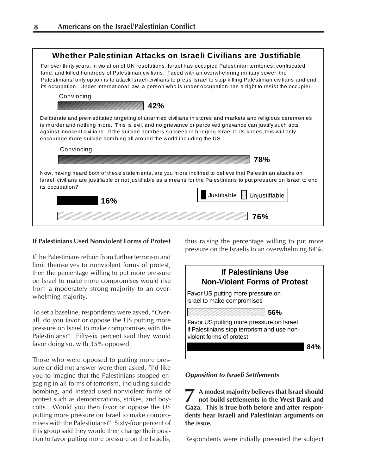

# **If Palestinians Used Nonviolent Forms of Protest**

If the Palestinians refrain from further terrorism and limit themselves to nonviolent forms of protest, then the percentage willing to put more pressure on Israel to make more compromises would rise from a moderately strong majority to an overwhelming majority.

To set a baseline, respondents were asked, "Overall, do you favor or oppose the US putting more pressure on Israel to make compromises with the Palestinians?" Fifty-six percent said they would favor doing so, with 35% opposed.

Those who were opposed to putting more pressure or did not answer were then asked, "I'd like you to imagine that the Palestinians stopped engaging in all forms of terrorism, including suicide bombing, and instead used nonviolent forms of protest such as demonstrations, strikes, and boycotts. Would you then favor or oppose the US putting more pressure on Israel to make compromises with the Palestinians?" Sixty-four percent of this group said they would then change their position to favor putting more pressure on the Israelis,

thus raising the percentage willing to put more pressure on the Israelis to an overwhelming 84%.



*Opposition to Israeli Settlements*

**7** A modest majority believes that Israel should not build settlements in the West Bank and Gaza. This is true both before and after respon-**A modest majority believes that Israel should not build settlements in the West Bank and dents hear Israeli and Palestinian arguments on the issue.**

Respondents were initially presented the subject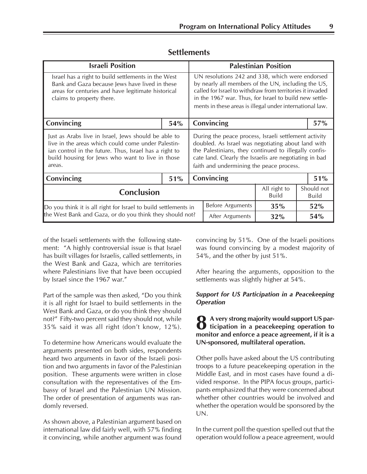| <b>Israeli Position</b>                                                                                                                                                                                                            |     | <b>Palestinian Position</b>                                                                                                                                                                                                                                                              |                  |                                                     |     |     |  |
|------------------------------------------------------------------------------------------------------------------------------------------------------------------------------------------------------------------------------------|-----|------------------------------------------------------------------------------------------------------------------------------------------------------------------------------------------------------------------------------------------------------------------------------------------|------------------|-----------------------------------------------------|-----|-----|--|
| Israel has a right to build settlements in the West<br>Bank and Gaza because Jews have lived in these<br>areas for centuries and have legitimate historical<br>claims to property there.                                           |     | UN resolutions 242 and 338, which were endorsed<br>by nearly all members of the UN, including the US,<br>called for Israel to withdraw from territories it invaded<br>in the 1967 war. Thus, for Israel to build new settle-<br>ments in these areas is illegal under international law. |                  |                                                     |     |     |  |
| Convincing                                                                                                                                                                                                                         | 54% | Convincing                                                                                                                                                                                                                                                                               |                  |                                                     | 57% |     |  |
| Just as Arabs live in Israel, Jews should be able to<br>live in the areas which could come under Palestin-<br>ian control in the future. Thus, Israel has a right to<br>build housing for Jews who want to live in those<br>areas. |     | During the peace process, Israeli settlement activity<br>doubled. As Israel was negotiating about land with<br>the Palestinians, they continued to illegally confis-<br>cate land. Clearly the Israelis are negotiating in bad<br>faith and undermining the peace process.               |                  |                                                     |     |     |  |
| Convincing                                                                                                                                                                                                                         | 51% | Convincing<br>51%                                                                                                                                                                                                                                                                        |                  |                                                     |     |     |  |
| <b>Conclusion</b>                                                                                                                                                                                                                  |     |                                                                                                                                                                                                                                                                                          |                  | All right to<br>Should not<br><b>Build</b><br>Build |     |     |  |
| Do you think it is all right for Israel to build settlements in<br>the West Bank and Gaza, or do you think they should not?                                                                                                        |     |                                                                                                                                                                                                                                                                                          | Before Arguments | 35%                                                 |     | 52% |  |
|                                                                                                                                                                                                                                    |     |                                                                                                                                                                                                                                                                                          | After Arguments  | 32%                                                 | 54% |     |  |

# **Settlements**

of the Israeli settlements with the following statement: "A highly controversial issue is that Israel has built villages for Israelis, called settlements, in the West Bank and Gaza, which are territories where Palestinians live that have been occupied by Israel since the 1967 war."

Part of the sample was then asked, "Do you think it is all right for Israel to build settlements in the West Bank and Gaza, or do you think they should not?" Fifty-two percent said they should not, while 35% said it was all right (don't know, 12%).

To determine how Americans would evaluate the arguments presented on both sides, respondents heard two arguments in favor of the Israeli position and two arguments in favor of the Palestinian position. These arguments were written in close consultation with the representatives of the Embassy of Israel and the Palestinian UN Mission. The order of presentation of arguments was randomly reversed.

As shown above, a Palestinian argument based on international law did fairly well, with 57% finding it convincing, while another argument was found convincing by 51%. One of the Israeli positions was found convincing by a modest majority of 54%, and the other by just 51%.

After hearing the arguments, opposition to the settlements was slightly higher at 54%.

# *Support for US Participation in a Peacekeeping Operation*

**8** A very strong majority would support US par-<br>ticipation in a peacekeeping operation to **ticipation in a peacekeeping operation to monitor and enforce a peace agreement, if it is a UN-sponsored, multilateral operation.**

Other polls have asked about the US contributing troops to a future peacekeeping operation in the Middle East, and in most cases have found a divided response. In the PIPA focus groups, participants emphasized that they were concerned about whether other countries would be involved and whether the operation would be sponsored by the UN.

In the current poll the question spelled out that the operation would follow a peace agreement, would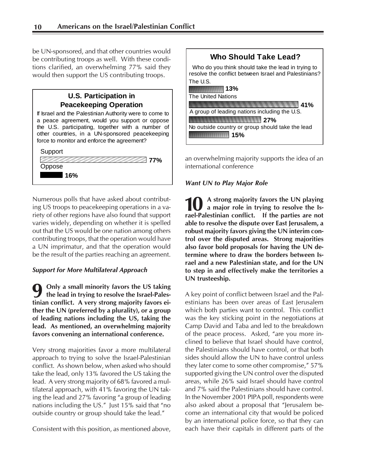be UN-sponsored, and that other countries would be contributing troops as well. With these conditions clarified, an overwhelming 77% said they would then support the US contributing troops.

# **U.S. Participation in Peacekeeping Operation** If Israel and the Palestinian Authority were to come to a peace agreement, would you support or oppose the U.S. participating, together with a number of other countries, in a UN-sponsored peacekeeping force to monitor and enforce the agreement? **77% 16% Support** Oppose

Numerous polls that have asked about contributing US troops to peacekeeping operations in a variety of other regions have also found that support varies widely, depending on whether it is spelled out that the US would be one nation among others contributing troops, that the operation would have a UN imprimatur, and that the operation would be the result of the parties reaching an agreement.

# *Support for More Multilateral Approach*

**9 Only a small minority favors the US taking the lead in trying to resolve the Israel-Palestinian conflict. A very strong majority favors either the UN (preferred by a plurality), or a group of leading nations including the US, taking the lead. As mentioned, an overwhelming majority favors convening an international conference.**

Very strong majorities favor a more multilateral approach to trying to solve the Israel-Palestinian conflict. As shown below, when asked who should take the lead, only 13% favored the US taking the lead. A very strong majority of 68% favored a multilateral approach, with 41% favoring the UN taking the lead and 27% favoring "a group of leading nations including the US." Just 15% said that "no outside country or group should take the lead."

Consistent with this position, as mentioned above,



an overwhelming majority supports the idea of an international conference

# *Want UN to Play Major Role*

**A strong majority favors the UN playing a major role in trying to resolve the Is-10** A strong majority favors the UN playing<br>rael-Palestinian conflict. If the parties are not **able to resolve the dispute over East Jerusalem, a robust majority favors giving the UN interim control over the disputed areas. Strong majorities also favor bold proposals for having the UN determine where to draw the borders between Israel and a new Palestinian state, and for the UN to step in and effectively make the territories a UN trusteeship.**

A key point of conflict between Israel and the Palestinians has been over areas of East Jerusalem which both parties want to control. This conflict was the key sticking point in the negotiations at Camp David and Taba and led to the breakdown of the peace process. Asked, "are you more inclined to believe that Israel should have control, the Palestinians should have control, or that both sides should allow the UN to have control unless they later come to some other compromise," 57% supported giving the UN control over the disputed areas, while 26% said Israel should have control and 7% said the Palestinians should have control. In the November 2001 PIPA poll, respondents were also asked about a proposal that "Jerusalem become an international city that would be policed by an international police force, so that they can each have their capitals in different parts of the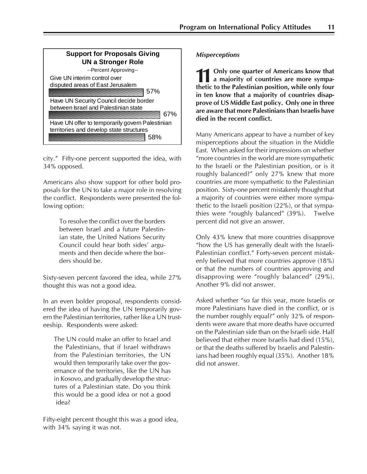

city." Fifty-one percent supported the idea, with 34% opposed.

Americans also show support for other bold proposals for the UN to take a major role in resolving the conflict. Respondents were presented the following option:

> To resolve the conflict over the borders between Israel and a future Palestinian state, the United Nations Security Council could hear both sides' arguments and then decide where the borders should be.

Sixty-seven percent favored the idea, while 27% thought this was not a good idea.

In an even bolder proposal, respondents considered the idea of having the UN temporarily govern the Palestinian territories, rather like a UN trusteeship. Respondents were asked:

The UN could make an offer to Israel and the Palestinians, that if Israel withdraws from the Palestinian territories, the UN would then temporarily take over the governance of the territories, like the UN has in Kosovo, and gradually develop the structures of a Palestinian state. Do you think this would be a good idea or not a good idea?

Fifty-eight percent thought this was a good idea, with 34% saying it was not.

### *Misperceptions*

**11** Only one quarter of Americans know that a majority of countries are more sympathetic to the Palestinian position, while only four **Only one quarter of Americans know that a majority of countries are more sympain ten know that a majority of countries disapprove of US Middle East policy. Only one in three are aware that more Palestinians than Israelis have died in the recent conflict.**

Many Americans appear to have a number of key misperceptions about the situation in the Middle East. When asked for their impressions on whether "more countries in the world are more sympathetic to the Israeli or the Palestinian position, or is it roughly balanced?" only 27% knew that more countries are more sympathetic to the Palestinian position. Sixty-one percent mistakenly thought that a majority of countries were either more sympathetic to the Israeli position (22%), or that sympathies were "roughly balanced" (39%). Twelve percent did not give an answer.

Only 43% knew that more countries disapprove "how the US has generally dealt with the Israeli-Palestinian conflict." Forty-seven percent mistakenly believed that more countries approve (18%) or that the numbers of countries approving and disapproving were "roughly balanced" (29%). Another 9% did not answer.

Asked whether "so far this year, more Israelis or more Palestinians have died in the conflict, or is the number roughly equal?" only 32% of respondents were aware that more deaths have occurred on the Palestinian side than on the Israeli side. Half believed that either more Israelis had died (15%), or that the deaths suffered by Israelis and Palestinians had been roughly equal (35%). Another 18% did not answer.